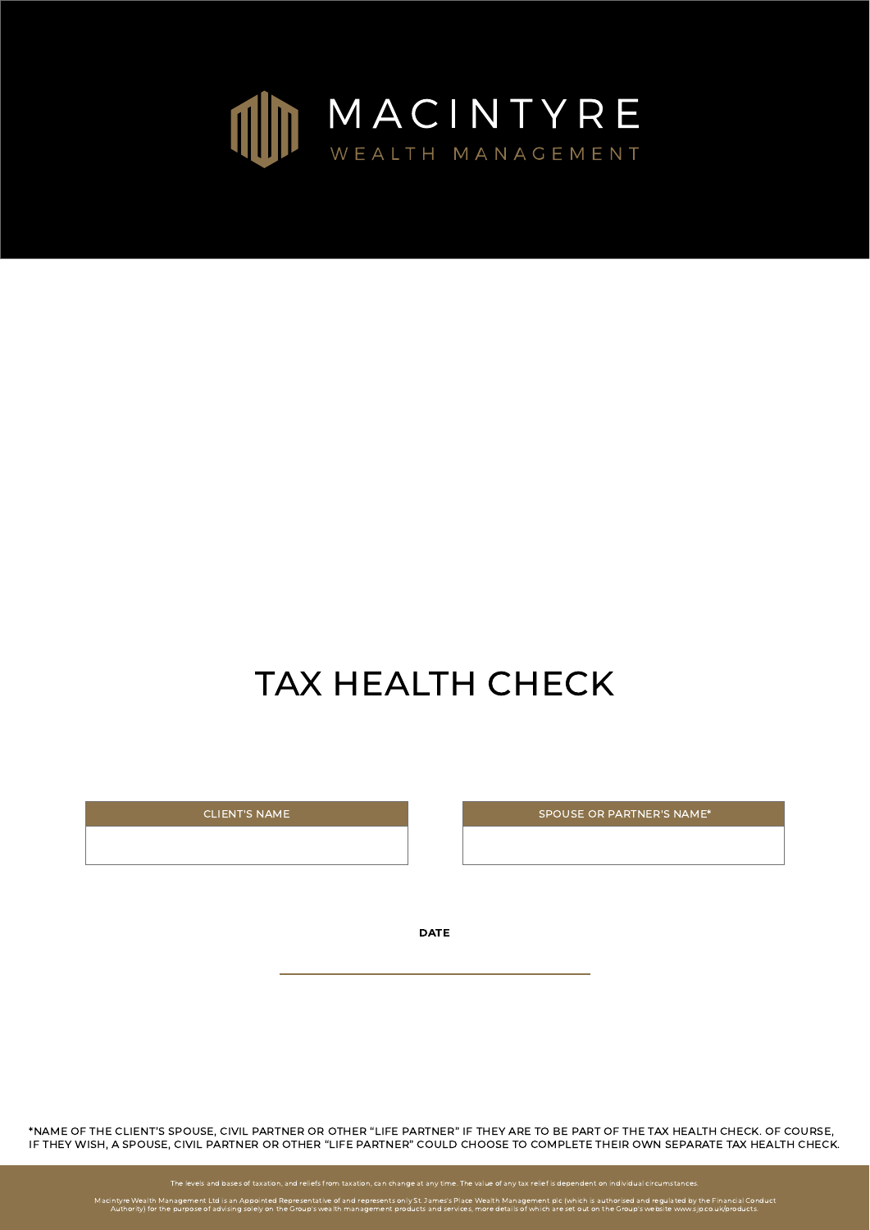CLIENT'S NAME



# TAX HEALTH CHECK

SPOUSE OR PARTNER'S NAME\*

\*NAME OF THE CLIENT'S SPOUSE, CIVIL PARTNER OR OTHER "LIFE PARTNER" IF THEY ARE TO BE PART OF THE TAX HEALTH CHECK. OF COURSE, IF THEY WISH, A SPOUSE, CIVIL PARTNER OR OTHER "LIFE PARTNER" COULD CHOOSE TO COMPLETE THEIR OWN SEPARATE TAX HEALTH CHECK.

The levels and bases of taxation, and reliefs from taxation, can change at any time. The value of any tax relief is dependent on individual circumstances.

Macintyre Wealth Management Ltd is an Appointed Representative of and represents only St. James's Place Wealth Management plc (which is authorised and regulated by the Financial Conduct Authority) for the purpose of advising solely on the Group's wealth management products and services, more details of which are set out on the Group's website www.sjp.co.uk/products.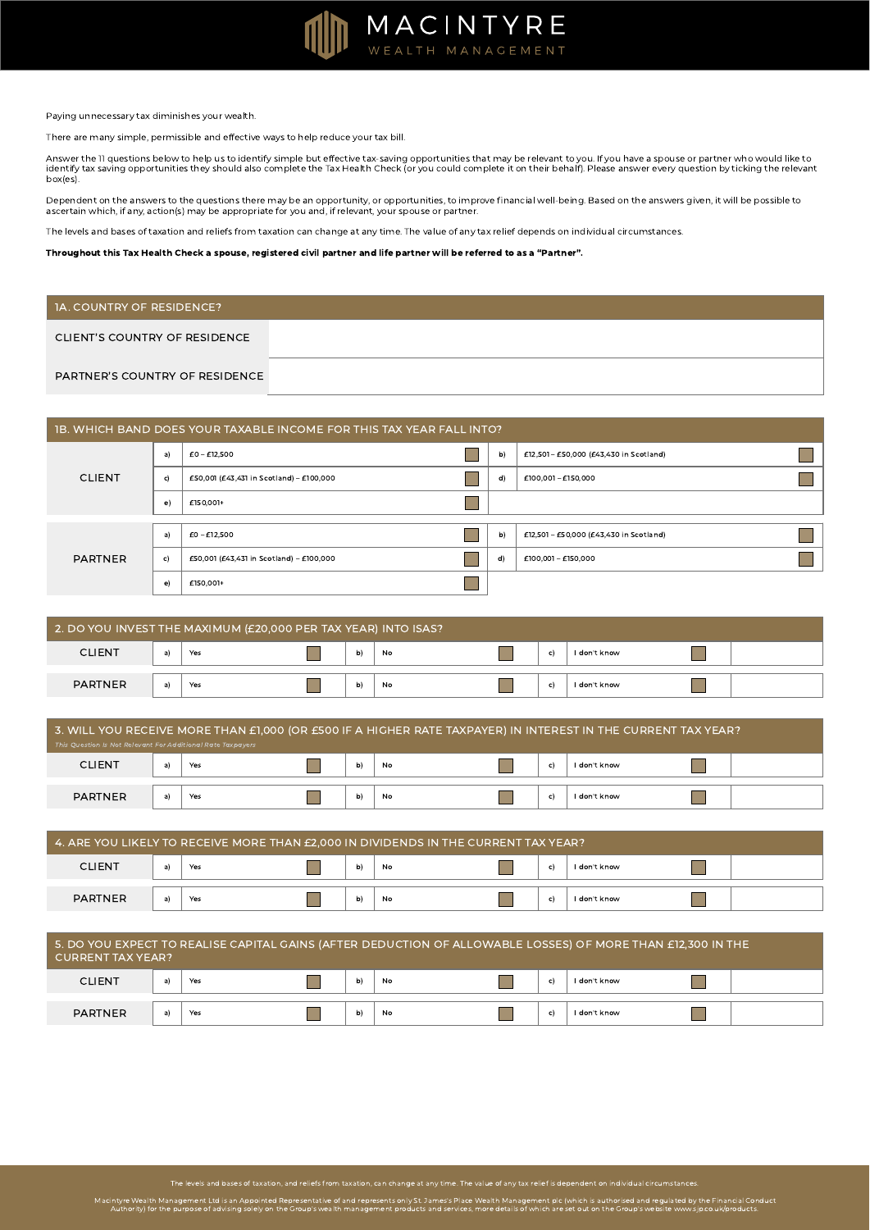#### 1A. COUNTRY OF RESIDENCE?



Paying unnecessary tax diminishes your wealth.

There are many simple, permissible and effective ways to help reduce your tax bill.

Answer the 11 questions below to help us to identify simple but effective tax-saving opportunities that may be relevant to you. If you have a spouse or partner who would like to identify tax saving opportunities they should also complete the Tax Health Check (or you could complete it on their behalf). Please answer every question by ticking the relevant box(es).

Dependent on the answers to the questions there may be an opportunity, or opportunities, to improve financial well-being. Based on the answers given, it will be possible to ascertain which, if any, action(s) may be appropriate for you and, if relevant, your spouse or partner.

The levels and bases of taxation and reliefs from taxation can change at any time. The value of any tax relief depends on individual circumstances.

Throughout this Tax Health Check a spouse, registered civil partner and life partner will be referred to as a "Partner" .

| CLIENT'S COUNTRY OF RESIDENCE         |  |
|---------------------------------------|--|
| <b>PARTNER'S COUNTRY OF RESIDENCE</b> |  |

### 1B. WHICH BAND DOES YOUR TAXABLE INCOME FOR THIS TAX YEAR FALL INTO?

|               | a          | $EO - E12,500$                           | $\mathsf{b}$ | £12,501 - £50,000 (£43,430 in Scotland) |
|---------------|------------|------------------------------------------|--------------|-----------------------------------------|
| <b>CLIENT</b> | $\vert$ C) | £50,001 (£43,431 in Scotland) – £100,000 | d)           | £100,001 - £150,000                     |
|               | e          | £150,001+                                |              |                                         |

|                | a)         | $\textnormal{\texttt{E0}-E12,500}$       | $\mathsf{b}$ | £12,501 – £50,000 (£43,430 in Scotland) |  |
|----------------|------------|------------------------------------------|--------------|-----------------------------------------|--|
| <b>PARTNER</b> | $\vert$ C  | £50,001 (£43,431 in Scotland) – £100,000 | d)           | £100,001 – £150,000                     |  |
|                | $\epsilon$ | £150,001+                                |              |                                         |  |

#### 2. DO YOU INVEST THE MAXIMUM (£20,000 PER TAX YEAR) INTO ISAS?

| Z. DU YUU IIYVESI THE MAAIMUM (EZU,UUU PER TAA YEAR) IIYTU ISAS: " |    |     |  |    |    |  |              |  |
|--------------------------------------------------------------------|----|-----|--|----|----|--|--------------|--|
| <b>CLIENT</b>                                                      | d  | Yes |  | b) | No |  | I don't know |  |
|                                                                    |    |     |  |    |    |  |              |  |
| <b>PARTNER</b>                                                     | a) | Yes |  | b) | No |  | I don't know |  |

### 3. WILL YOU RECEIVE MORE THAN £1,000 (OR £500 IF A HIGHER RATE TAXPAYER) IN INTEREST IN THE CURRENT TAX YEAR?

| <b>CLIENT</b>  | Yes | D)         | No | I don't know |
|----------------|-----|------------|----|--------------|
| <b>PARTNER</b> | Yes | $\vert$ D) | No | I don't know |

This Question Is Not Relevant For Additional Rate Taxpayers

| $\,$ 4. ARE YOU LIKELY TO RECEIVE MORE THAN £2,000 IN DIVIDENDS IN THE CURRENT TAX YEAR? $\,$ |                |     |  |              |    |  |  |              |  |
|-----------------------------------------------------------------------------------------------|----------------|-----|--|--------------|----|--|--|--------------|--|
| <b>CLIENT</b>                                                                                 |                | Yes |  | $\mathsf{b}$ | No |  |  | I don't know |  |
| <b>PARTNER</b>                                                                                | a <sub>i</sub> | Yes |  | $\mathsf{b}$ | No |  |  | I don't know |  |

5. DO YOU EXPECT TO REALISE CAPITAL GAINS (AFTER DEDUCTION OF ALLOWABLE LOSSES) OF MORE THAN £12,300 IN THE

| U. DU TUU LAI LUTTU INEALIJE UAI ITAL UAINU (AFTEU DEDUCTION UT TITAN LIZ,UUU IN TITE<br><b>CURRENT TAX YEAR?</b> |    |     |              |    |  |              |              |  |
|-------------------------------------------------------------------------------------------------------------------|----|-----|--------------|----|--|--------------|--------------|--|
| <b>CLIENT</b>                                                                                                     | a) | Yes | $\mathsf{b}$ | No |  | $\vert$ C)   | I don't know |  |
| PARTNER                                                                                                           | a) | Yes | $\mathsf{b}$ | No |  | $\mathbf{C}$ | I don't know |  |

The levels and bases of taxation, and reliefs from taxation, can change at any time. The value of any tax relief is dependent on individual circumstances.

Macintyre Wealth Management Ltd is an Appointed Representative of and represents only St. James's Place Wealth Management plc (which is authorised and regulated by the Financial Conduct Authority) for the purpose of advising solely on the Group's wealth management products and services, more details of which are set out on the Group's website www.sjp.co.uk/products.